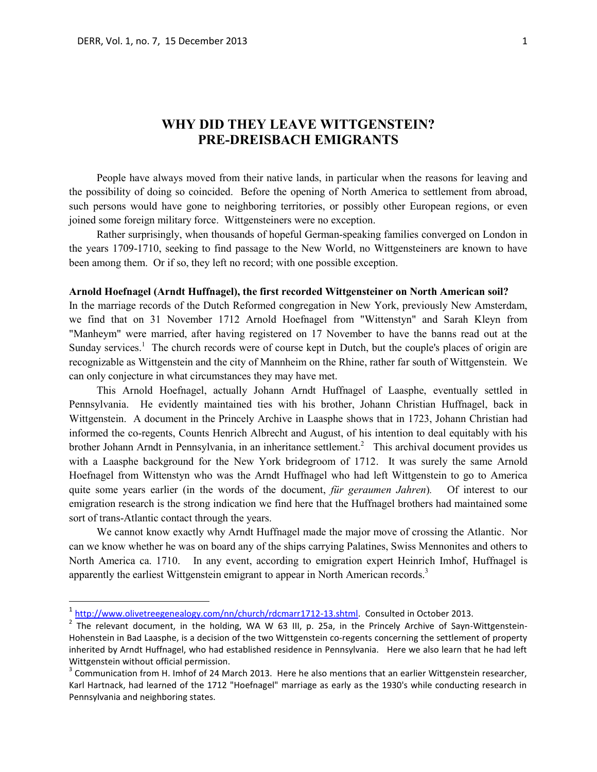$\overline{a}$ 

# **WHY DID THEY LEAVE WITTGENSTEIN? PRE-DREISBACH EMIGRANTS**

People have always moved from their native lands, in particular when the reasons for leaving and the possibility of doing so coincided. Before the opening of North America to settlement from abroad, such persons would have gone to neighboring territories, or possibly other European regions, or even joined some foreign military force. Wittgensteiners were no exception.

Rather surprisingly, when thousands of hopeful German-speaking families converged on London in the years 1709-1710, seeking to find passage to the New World, no Wittgensteiners are known to have been among them. Or if so, they left no record; with one possible exception.

### **Arnold Hoefnagel (Arndt Huffnagel), the first recorded Wittgensteiner on North American soil?**

In the marriage records of the Dutch Reformed congregation in New York, previously New Amsterdam, we find that on 31 November 1712 Arnold Hoefnagel from "Wittenstyn" and Sarah Kleyn from "Manheym" were married, after having registered on 17 November to have the banns read out at the Sunday services.<sup>1</sup> The church records were of course kept in Dutch, but the couple's places of origin are recognizable as Wittgenstein and the city of Mannheim on the Rhine, rather far south of Wittgenstein. We can only conjecture in what circumstances they may have met.

This Arnold Hoefnagel, actually Johann Arndt Huffnagel of Laasphe, eventually settled in Pennsylvania. He evidently maintained ties with his brother, Johann Christian Huffnagel, back in Wittgenstein. A document in the Princely Archive in Laasphe shows that in 1723, Johann Christian had informed the co-regents, Counts Henrich Albrecht and August, of his intention to deal equitably with his brother Johann Arndt in Pennsylvania, in an inheritance settlement.<sup>2</sup> This archival document provides us with a Laasphe background for the New York bridegroom of 1712. It was surely the same Arnold Hoefnagel from Wittenstyn who was the Arndt Huffnagel who had left Wittgenstein to go to America quite some years earlier (in the words of the document, *für geraumen Jahren*)*.* Of interest to our emigration research is the strong indication we find here that the Huffnagel brothers had maintained some sort of trans-Atlantic contact through the years.

We cannot know exactly why Arndt Huffnagel made the major move of crossing the Atlantic. Nor can we know whether he was on board any of the ships carrying Palatines, Swiss Mennonites and others to North America ca. 1710. In any event, according to emigration expert Heinrich Imhof, Huffnagel is apparently the earliest Wittgenstein emigrant to appear in North American records.<sup>3</sup>

<sup>&</sup>lt;sup>1</sup> [http://www.olivetreegenealogy.com/nn/church/rdcmarr1712-13.shtml.](http://www.olivetreegenealogy.com/nn/church/rdcmarr1712-13.shtml) Consulted in October 2013.

 $2$  The relevant document, in the holding, WA W 63 III, p. 25a, in the Princely Archive of Sayn-Wittgenstein-Hohenstein in Bad Laasphe, is a decision of the two Wittgenstein co-regents concerning the settlement of property inherited by Arndt Huffnagel, who had established residence in Pennsylvania. Here we also learn that he had left Wittgenstein without official permission.

 $3$  Communication from H. Imhof of 24 March 2013. Here he also mentions that an earlier Wittgenstein researcher, Karl Hartnack, had learned of the 1712 "Hoefnagel" marriage as early as the 1930's while conducting research in Pennsylvania and neighboring states.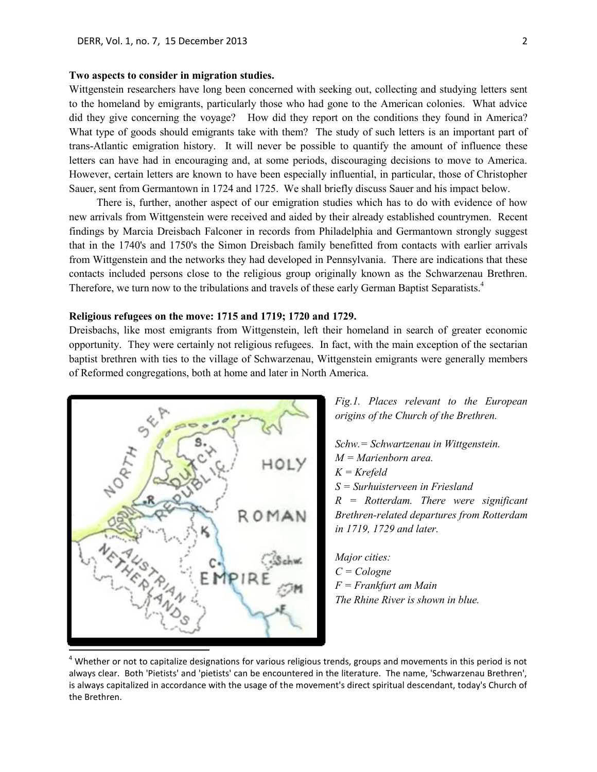### **Two aspects to consider in migration studies.**

Wittgenstein researchers have long been concerned with seeking out, collecting and studying letters sent to the homeland by emigrants, particularly those who had gone to the American colonies. What advice did they give concerning the voyage? How did they report on the conditions they found in America? What type of goods should emigrants take with them? The study of such letters is an important part of trans-Atlantic emigration history. It will never be possible to quantify the amount of influence these letters can have had in encouraging and, at some periods, discouraging decisions to move to America. However, certain letters are known to have been especially influential, in particular, those of Christopher Sauer, sent from Germantown in 1724 and 1725. We shall briefly discuss Sauer and his impact below.

There is, further, another aspect of our emigration studies which has to do with evidence of how new arrivals from Wittgenstein were received and aided by their already established countrymen. Recent findings by Marcia Dreisbach Falconer in records from Philadelphia and Germantown strongly suggest that in the 1740's and 1750's the Simon Dreisbach family benefitted from contacts with earlier arrivals from Wittgenstein and the networks they had developed in Pennsylvania. There are indications that these contacts included persons close to the religious group originally known as the Schwarzenau Brethren. Therefore, we turn now to the tribulations and travels of these early German Baptist Separatists.<sup>4</sup>

### **Religious refugees on the move: 1715 and 1719; 1720 and 1729.**

Dreisbachs, like most emigrants from Wittgenstein, left their homeland in search of greater economic opportunity. They were certainly not religious refugees. In fact, with the main exception of the sectarian baptist brethren with ties to the village of Schwarzenau, Wittgenstein emigrants were generally members of Reformed congregations, both at home and later in North America.



*Fig.1. Places relevant to the European origins of the Church of the Brethren.* 

*Schw.= Schwartzenau in Wittgenstein. M = Marienborn area. K = Krefeld S = Surhuisterveen in Friesland R = Rotterdam. There were significant Brethren-related departures from Rotterdam in 1719, 1729 and later.*

*Major cities: C = Cologne F = Frankfurt am Main The Rhine River is shown in blue.*

 $4$  Whether or not to capitalize designations for various religious trends, groups and movements in this period is not always clear. Both 'Pietists' and 'pietists' can be encountered in the literature. The name, 'Schwarzenau Brethren', is always capitalized in accordance with the usage of the movement's direct spiritual descendant, today's Church of the Brethren.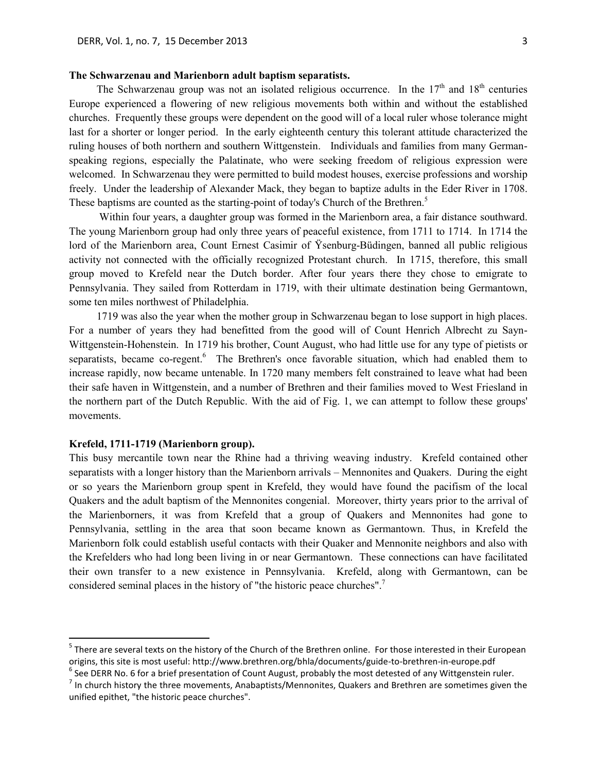# **The Schwarzenau and Marienborn adult baptism separatists.**

The Schwarzenau group was not an isolated religious occurrence. In the  $17<sup>th</sup>$  and  $18<sup>th</sup>$  centuries Europe experienced a flowering of new religious movements both within and without the established churches. Frequently these groups were dependent on the good will of a local ruler whose tolerance might last for a shorter or longer period. In the early eighteenth century this tolerant attitude characterized the ruling houses of both northern and southern Wittgenstein. Individuals and families from many Germanspeaking regions, especially the Palatinate, who were seeking freedom of religious expression were welcomed. In Schwarzenau they were permitted to build modest houses, exercise professions and worship freely. Under the leadership of Alexander Mack, they began to baptize adults in the Eder River in 1708. These baptisms are counted as the starting-point of today's Church of the Brethren.<sup>5</sup>

Within four years, a daughter group was formed in the Marienborn area, a fair distance southward. The young Marienborn group had only three years of peaceful existence, from 1711 to 1714. In 1714 the lord of the Marienborn area, Count Ernest Casimir of Ÿsenburg-Büdingen, banned all public religious activity not connected with the officially recognized Protestant church. In 1715, therefore, this small group moved to Krefeld near the Dutch border. After four years there they chose to emigrate to Pennsylvania. They sailed from Rotterdam in 1719, with their ultimate destination being Germantown, some ten miles northwest of Philadelphia.

1719 was also the year when the mother group in Schwarzenau began to lose support in high places. For a number of years they had benefitted from the good will of Count Henrich Albrecht zu Sayn-Wittgenstein-Hohenstein. In 1719 his brother, Count August, who had little use for any type of pietists or separatists, became co-regent.<sup>6</sup> The Brethren's once favorable situation, which had enabled them to increase rapidly, now became untenable. In 1720 many members felt constrained to leave what had been their safe haven in Wittgenstein, and a number of Brethren and their families moved to West Friesland in the northern part of the Dutch Republic. With the aid of Fig. 1, we can attempt to follow these groups' movements.

### **Krefeld, 1711-1719 (Marienborn group).**

 $\overline{a}$ 

This busy mercantile town near the Rhine had a thriving weaving industry. Krefeld contained other separatists with a longer history than the Marienborn arrivals – Mennonites and Quakers. During the eight or so years the Marienborn group spent in Krefeld, they would have found the pacifism of the local Quakers and the adult baptism of the Mennonites congenial. Moreover, thirty years prior to the arrival of the Marienborners, it was from Krefeld that a group of Quakers and Mennonites had gone to Pennsylvania, settling in the area that soon became known as Germantown. Thus, in Krefeld the Marienborn folk could establish useful contacts with their Quaker and Mennonite neighbors and also with the Krefelders who had long been living in or near Germantown. These connections can have facilitated their own transfer to a new existence in Pennsylvania. Krefeld, along with Germantown, can be considered seminal places in the history of "the historic peace churches".<sup>7</sup>

<sup>&</sup>lt;sup>5</sup> There are several texts on the history of the Church of the Brethren online. For those interested in their European origins, this site is most useful: http://www.brethren.org/bhla/documents/guide-to-brethren-in-europe.pdf  $^6$  See DERR No. 6 for a brief presentation of Count August, probably the most detested of any Wittgenstein ruler.

 $<sup>7</sup>$  In church history the three movements, Anabaptists/Mennonites, Quakers and Brethren are sometimes given the</sup> unified epithet, "the historic peace churches".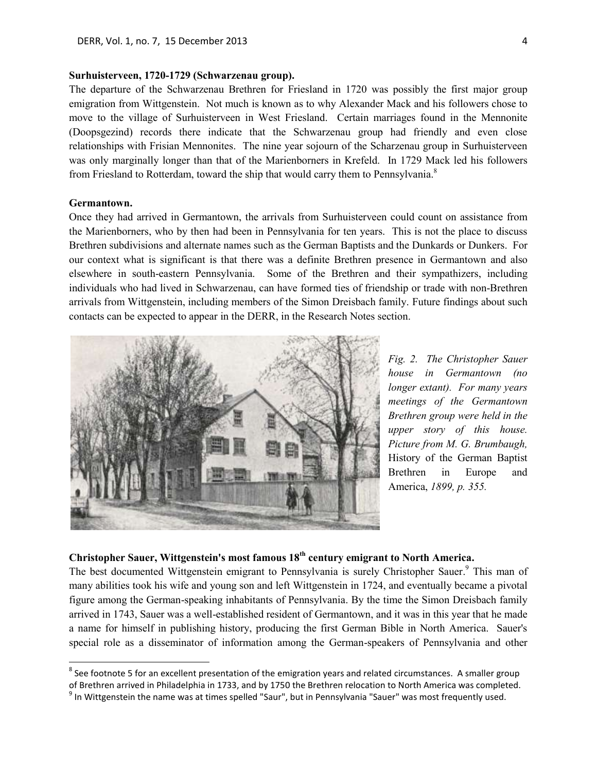## **Surhuisterveen, 1720-1729 (Schwarzenau group).**

The departure of the Schwarzenau Brethren for Friesland in 1720 was possibly the first major group emigration from Wittgenstein. Not much is known as to why Alexander Mack and his followers chose to move to the village of Surhuisterveen in West Friesland. Certain marriages found in the Mennonite (Doopsgezind) records there indicate that the Schwarzenau group had friendly and even close relationships with Frisian Mennonites. The nine year sojourn of the Scharzenau group in Surhuisterveen was only marginally longer than that of the Marienborners in Krefeld. In 1729 Mack led his followers from Friesland to Rotterdam, toward the ship that would carry them to Pennsylvania.<sup>8</sup>

### **Germantown.**

 $\overline{a}$ 

Once they had arrived in Germantown, the arrivals from Surhuisterveen could count on assistance from the Marienborners, who by then had been in Pennsylvania for ten years. This is not the place to discuss Brethren subdivisions and alternate names such as the German Baptists and the Dunkards or Dunkers. For our context what is significant is that there was a definite Brethren presence in Germantown and also elsewhere in south-eastern Pennsylvania. Some of the Brethren and their sympathizers, including individuals who had lived in Schwarzenau, can have formed ties of friendship or trade with non-Brethren arrivals from Wittgenstein, including members of the Simon Dreisbach family. Future findings about such contacts can be expected to appear in the DERR, in the Research Notes section.



*Fig. 2. The Christopher Sauer house in Germantown (no longer extant). For many years meetings of the Germantown Brethren group were held in the upper story of this house. Picture from M. G. Brumbaugh,*  History of the German Baptist Brethren in Europe and America, *1899, p. 355.*

# **Christopher Sauer, Wittgenstein's most famous 18th century emigrant to North America.**

The best documented Wittgenstein emigrant to Pennsylvania is surely Christopher Sauer.<sup>9</sup> This man of many abilities took his wife and young son and left Wittgenstein in 1724, and eventually became a pivotal figure among the German-speaking inhabitants of Pennsylvania. By the time the Simon Dreisbach family arrived in 1743, Sauer was a well-established resident of Germantown, and it was in this year that he made a name for himself in publishing history, producing the first German Bible in North America. Sauer's special role as a disseminator of information among the German-speakers of Pennsylvania and other

 $^8$  See footnote 5 for an excellent presentation of the emigration years and related circumstances. A smaller group of Brethren arrived in Philadelphia in 1733, and by 1750 the Brethren relocation to North America was completed.

<sup>&</sup>lt;sup>9</sup> In Wittgenstein the name was at times spelled "Saur", but in Pennsylvania "Sauer" was most frequently used.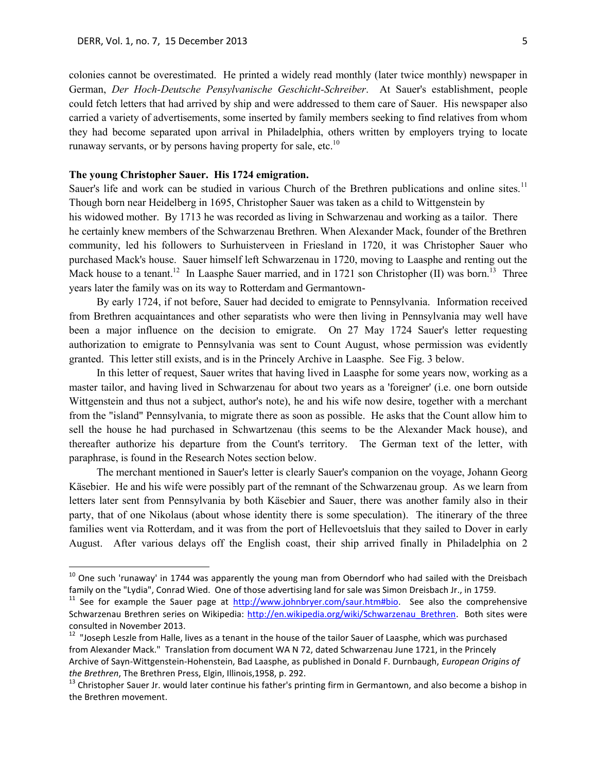colonies cannot be overestimated. He printed a widely read monthly (later twice monthly) newspaper in German, *Der Hoch-Deutsche Pensylvanische Geschicht-Schreiber*. At Sauer's establishment, people could fetch letters that had arrived by ship and were addressed to them care of Sauer. His newspaper also carried a variety of advertisements, some inserted by family members seeking to find relatives from whom they had become separated upon arrival in Philadelphia, others written by employers trying to locate runaway servants, or by persons having property for sale, etc.<sup>10</sup>

## **The young Christopher Sauer. His 1724 emigration.**

 $\overline{a}$ 

Sauer's life and work can be studied in various Church of the Brethren publications and online sites.<sup>11</sup> Though born near Heidelberg in 1695, Christopher Sauer was taken as a child to Wittgenstein by his widowed mother. By 1713 he was recorded as living in Schwarzenau and working as a tailor. There he certainly knew members of the Schwarzenau Brethren. When Alexander Mack, founder of the Brethren community, led his followers to Surhuisterveen in Friesland in 1720, it was Christopher Sauer who purchased Mack's house. Sauer himself left Schwarzenau in 1720, moving to Laasphe and renting out the Mack house to a tenant.<sup>12</sup> In Laasphe Sauer married, and in 1721 son Christopher (II) was born.<sup>13</sup> Three years later the family was on its way to Rotterdam and Germantown-

By early 1724, if not before, Sauer had decided to emigrate to Pennsylvania. Information received from Brethren acquaintances and other separatists who were then living in Pennsylvania may well have been a major influence on the decision to emigrate. On 27 May 1724 Sauer's letter requesting authorization to emigrate to Pennsylvania was sent to Count August, whose permission was evidently granted. This letter still exists, and is in the Princely Archive in Laasphe. See Fig. 3 below.

In this letter of request, Sauer writes that having lived in Laasphe for some years now, working as a master tailor, and having lived in Schwarzenau for about two years as a 'foreigner' (i.e. one born outside Wittgenstein and thus not a subject, author's note), he and his wife now desire, together with a merchant from the "island" Pennsylvania, to migrate there as soon as possible. He asks that the Count allow him to sell the house he had purchased in Schwartzenau (this seems to be the Alexander Mack house), and thereafter authorize his departure from the Count's territory. The German text of the letter, with paraphrase, is found in the Research Notes section below.

The merchant mentioned in Sauer's letter is clearly Sauer's companion on the voyage, Johann Georg Käsebier. He and his wife were possibly part of the remnant of the Schwarzenau group. As we learn from letters later sent from Pennsylvania by both Käsebier and Sauer, there was another family also in their party, that of one Nikolaus (about whose identity there is some speculation). The itinerary of the three families went via Rotterdam, and it was from the port of Hellevoetsluis that they sailed to Dover in early August. After various delays off the English coast, their ship arrived finally in Philadelphia on 2

 $10$  One such 'runaway' in 1744 was apparently the young man from Oberndorf who had sailed with the Dreisbach family on the "Lydia", Conrad Wied. One of those advertising land for sale was Simon Dreisbach Jr., in 1759.

<sup>&</sup>lt;sup>11</sup> See for example the Sauer page at  $\frac{http://www.johnbyer.com/saur.htm#bio}{http://www.johnbyer.com/saur.htm#bio}$ . See also the comprehensive Schwarzenau Brethren series on Wikipedia: http://en.wikipedia.org/wiki/Schwarzenau Brethren. Both sites were consulted in November 2013.

<sup>&</sup>lt;sup>12</sup> "Joseph Leszle from Halle, lives as a tenant in the house of the tailor Sauer of Laasphe, which was purchased from Alexander Mack." Translation from document WA N 72, dated Schwarzenau June 1721, in the Princely Archive of Sayn-Wittgenstein-Hohenstein, Bad Laasphe, as published in Donald F. Durnbaugh, *European Origins of the Brethren*, The Brethren Press, Elgin, Illinois,1958, p. 292.

<sup>&</sup>lt;sup>13</sup> Christopher Sauer Jr. would later continue his father's printing firm in Germantown, and also become a bishop in the Brethren movement.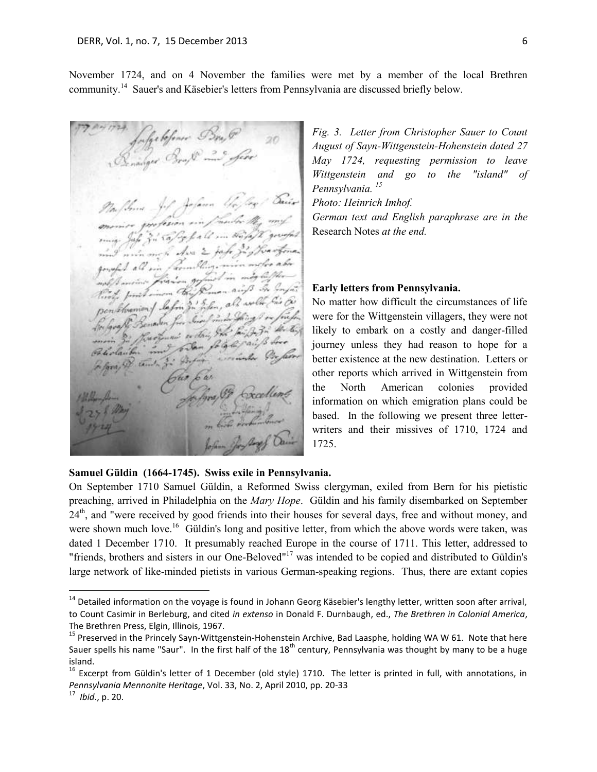November 1724, and on 4 November the families were met by a member of the local Brethren community.<sup>14</sup> Sauer's and Käsebier's letters from Pennsylvania are discussed briefly below.

faffe kfener Bes<sub>t</sub> P<br><sub>navg</sub>er Broß<sup>g 22</sup> *fer*e Mafthone Jof Jafann Un monice profesion min man July 3. Cap Go for a month of prosper mind main might down 2 jahr 32 floorofone. good all in familing min motor abo goupes are in finism get in my lefter to posit income the Roman air 3 in Infa. finity finite more than 3 . 3 fem, all wollen fair for Be faraff Benaven free Sure friends graft Benaver for an bought for faith 3 the ting mais so complete paints free Poliolautor tamba go Dofor

*Fig. 3. Letter from Christopher Sauer to Count August of Sayn-Wittgenstein-Hohenstein dated 27 May 1724, requesting permission to leave Wittgenstein and go to the "island" of Pennsylvania. 15*

*Photo: Heinrich Imhof.*

*German text and English paraphrase are in the*  Research Notes *at the end.* 

## **Early letters from Pennsylvania.**

No matter how difficult the circumstances of life were for the Wittgenstein villagers, they were not likely to embark on a costly and danger-filled journey unless they had reason to hope for a better existence at the new destination. Letters or other reports which arrived in Wittgenstein from the North American colonies provided information on which emigration plans could be based. In the following we present three letterwriters and their missives of 1710, 1724 and 1725.

## **Samuel Güldin (1664-1745). Swiss exile in Pennsylvania.**

On September 1710 Samuel Güldin, a Reformed Swiss clergyman, exiled from Bern for his pietistic preaching, arrived in Philadelphia on the *Mary Hope*. Güldin and his family disembarked on September 24<sup>th</sup>, and "were received by good friends into their houses for several days, free and without money, and were shown much love.<sup>16</sup> Güldin's long and positive letter, from which the above words were taken, was dated 1 December 1710. It presumably reached Europe in the course of 1711. This letter, addressed to "friends, brothers and sisters in our One-Beloved"<sup>17</sup> was intended to be copied and distributed to Güldin's large network of like-minded pietists in various German-speaking regions. Thus, there are extant copies

 $\overline{a}$ 

<sup>&</sup>lt;sup>14</sup> Detailed information on the voyage is found in Johann Georg Käsebier's lengthy letter, written soon after arrival, to Count Casimir in Berleburg, and cited *in extenso* in Donald F. Durnbaugh, ed., *The Brethren in Colonial America*, The Brethren Press, Elgin, Illinois, 1967.

<sup>&</sup>lt;sup>15</sup> Preserved in the Princely Sayn-Wittgenstein-Hohenstein Archive, Bad Laasphe, holding WA W 61. Note that here Sauer spells his name "Saur". In the first half of the  $18^{th}$  century, Pennsylvania was thought by many to be a huge island.

 $^{16}$  Excerpt from Güldin's letter of 1 December (old style) 1710. The letter is printed in full, with annotations, in *Pennsylvania Mennonite Heritage*, Vol. 33, No. 2, April 2010, pp. 20-33

<sup>17</sup> *Ibid*., p. 20.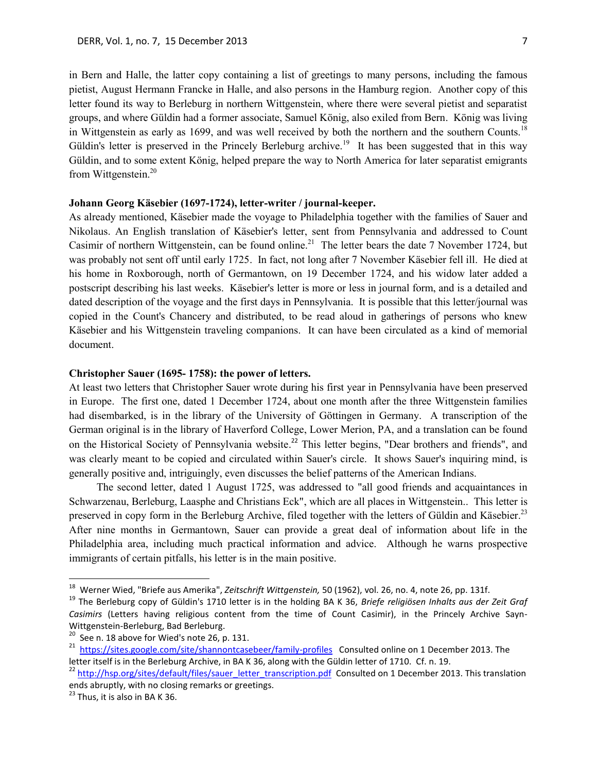in Bern and Halle, the latter copy containing a list of greetings to many persons, including the famous pietist, August Hermann Francke in Halle, and also persons in the Hamburg region. Another copy of this letter found its way to Berleburg in northern Wittgenstein, where there were several pietist and separatist groups, and where Güldin had a former associate, Samuel König, also exiled from Bern. König was living in Wittgenstein as early as 1699, and was well received by both the northern and the southern Counts.<sup>18</sup> Güldin's letter is preserved in the Princely Berleburg archive.<sup>19</sup> It has been suggested that in this way Güldin, and to some extent König, helped prepare the way to North America for later separatist emigrants from Wittgenstein.<sup>20</sup>

## **Johann Georg Käsebier (1697-1724), letter-writer / journal-keeper.**

As already mentioned, Käsebier made the voyage to Philadelphia together with the families of Sauer and Nikolaus. An English translation of Käsebier's letter, sent from Pennsylvania and addressed to Count Casimir of northern Wittgenstein, can be found online. <sup>21</sup> The letter bears the date 7 November 1724, but was probably not sent off until early 1725. In fact, not long after 7 November Käsebier fell ill. He died at his home in Roxborough, north of Germantown, on 19 December 1724, and his widow later added a postscript describing his last weeks. Käsebier's letter is more or less in journal form, and is a detailed and dated description of the voyage and the first days in Pennsylvania. It is possible that this letter/journal was copied in the Count's Chancery and distributed, to be read aloud in gatherings of persons who knew Käsebier and his Wittgenstein traveling companions. It can have been circulated as a kind of memorial document.

## **Christopher Sauer (1695- 1758): the power of letters.**

At least two letters that Christopher Sauer wrote during his first year in Pennsylvania have been preserved in Europe. The first one, dated 1 December 1724, about one month after the three Wittgenstein families had disembarked, is in the library of the University of Göttingen in Germany. A transcription of the German original is in the library of Haverford College, Lower Merion, PA, and a translation can be found on the Historical Society of Pennsylvania website.<sup>22</sup> This letter begins, "Dear brothers and friends", and was clearly meant to be copied and circulated within Sauer's circle. It shows Sauer's inquiring mind, is generally positive and, intriguingly, even discusses the belief patterns of the American Indians.

The second letter, dated 1 August 1725, was addressed to "all good friends and acquaintances in Schwarzenau, Berleburg, Laasphe and Christians Eck", which are all places in Wittgenstein.. This letter is preserved in copy form in the Berleburg Archive, filed together with the letters of Güldin and Käsebier.<sup>23</sup> After nine months in Germantown, Sauer can provide a great deal of information about life in the Philadelphia area, including much practical information and advice. Although he warns prospective immigrants of certain pitfalls, his letter is in the main positive.

 $\overline{a}$ 

<sup>18</sup> Werner Wied, "Briefe aus Amerika", *Zeitschrift Wittgenstein,* 50 (1962), vol. 26, no. 4, note 26, pp. 131f.

<sup>19</sup> The Berleburg copy of Güldin's 1710 letter is in the holding BA K 36, *Briefe religiösen Inhalts aus der Zeit Graf Casimirs* (Letters having religious content from the time of Count Casimir), in the Princely Archive Sayn-Wittgenstein-Berleburg, Bad Berleburg.

 $20$  See n. 18 above for Wied's note 26, p. 131.

<sup>21</sup> <https://sites.google.com/site/shannontcasebeer/family-profiles>Consulted online on 1 December 2013. The letter itself is in the Berleburg Archive, in BA K 36, along with the Güldin letter of 1710. Cf. n. 19.

<sup>&</sup>lt;sup>22</sup> [http://hsp.org/sites/default/files/sauer\\_letter\\_transcription.pdf](http://hsp.org/sites/default/files/sauer_letter_transcription.pdf) Consulted on 1 December 2013. This translation ends abruptly, with no closing remarks or greetings.

 $23$  Thus, it is also in BA K 36.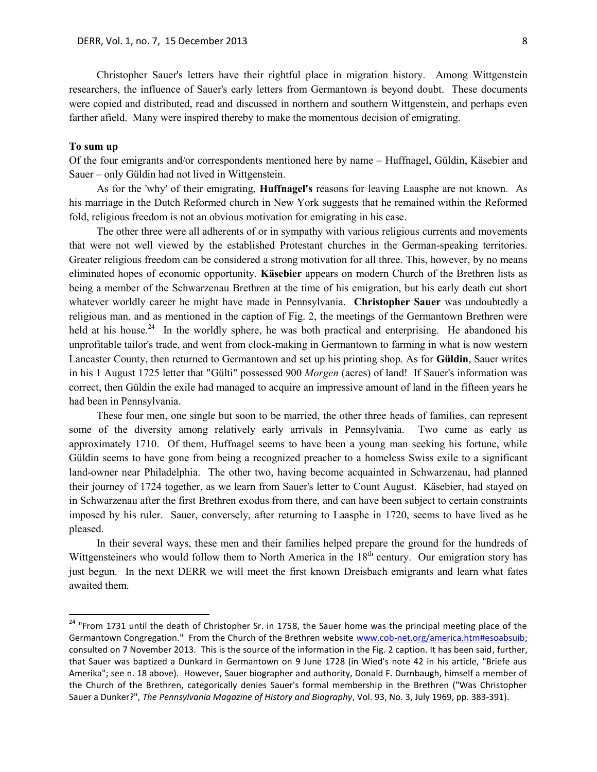Christopher Sauer's letters have their rightful place in migration history. Among Wittgenstein researchers, the influence of Sauer's early letters from Germantown is beyond doubt. These documents were copied and distributed, read and discussed in northern and southern Wittgenstein, and perhaps even farther afield. Many were inspired thereby to make the momentous decision of emigrating.

### **To sum up**

 $\overline{a}$ 

Of the four emigrants and/or correspondents mentioned here by name – Huffnagel, Güldin, Käsebier and Sauer – only Güldin had not lived in Wittgenstein.

As for the 'why' of their emigrating, **Huffnagel's** reasons for leaving Laasphe are not known. As his marriage in the Dutch Reformed church in New York suggests that he remained within the Reformed fold, religious freedom is not an obvious motivation for emigrating in his case.

The other three were all adherents of or in sympathy with various religious currents and movements that were not well viewed by the established Protestant churches in the German-speaking territories. Greater religious freedom can be considered a strong motivation for all three. This, however, by no means eliminated hopes of economic opportunity. **Käsebier** appears on modern Church of the Brethren lists as being a member of the Schwarzenau Brethren at the time of his emigration, but his early death cut short whatever worldly career he might have made in Pennsylvania. **Christopher Sauer** was undoubtedly a religious man, and as mentioned in the caption of Fig. 2, the meetings of the Germantown Brethren were held at his house.<sup>24</sup> In the worldly sphere, he was both practical and enterprising. He abandoned his unprofitable tailor's trade, and went from clock-making in Germantown to farming in what is now western Lancaster County, then returned to Germantown and set up his printing shop. As for **Güldin**, Sauer writes in his 1 August 1725 letter that "Gülti" possessed 900 *Morgen* (acres) of land! If Sauer's information was correct, then Güldin the exile had managed to acquire an impressive amount of land in the fifteen years he had been in Pennsylvania.

These four men, one single but soon to be married, the other three heads of families, can represent some of the diversity among relatively early arrivals in Pennsylvania. Two came as early as approximately 1710. Of them, Huffnagel seems to have been a young man seeking his fortune, while Güldin seems to have gone from being a recognized preacher to a homeless Swiss exile to a significant land-owner near Philadelphia. The other two, having become acquainted in Schwarzenau, had planned their journey of 1724 together, as we learn from Sauer's letter to Count August. Käsebier, had stayed on in Schwarzenau after the first Brethren exodus from there, and can have been subject to certain constraints imposed by his ruler. Sauer, conversely, after returning to Laasphe in 1720, seems to have lived as he pleased.

In their several ways, these men and their families helped prepare the ground for the hundreds of Wittgensteiners who would follow them to North America in the  $18<sup>th</sup>$  century. Our emigration story has just begun. In the next DERR we will meet the first known Dreisbach emigrants and learn what fates awaited them.

<sup>&</sup>lt;sup>24</sup> "From 1731 until the death of Christopher Sr. in 1758, the Sauer home was the principal meeting place of the Germantown Congregation." From the Church of the Brethren website [www.cob-net.org/america.htm#esoabsuib;](http://www.cob-net.org/america.htm#esoabsuib) consulted on 7 November 2013. This is the source of the information in the Fig. 2 caption. It has been said, further, that Sauer was baptized a Dunkard in Germantown on 9 June 1728 (in Wied's note 42 in his article, "Briefe aus Amerika"; see n. 18 above). However, Sauer biographer and authority, Donald F. Durnbaugh, himself a member of the Church of the Brethren, categorically denies Sauer's formal membership in the Brethren ("Was Christopher Sauer a Dunker?", *The Pennsylvania Magazine of History and Biography*, Vol. 93, No. 3, July 1969, pp. 383-391).